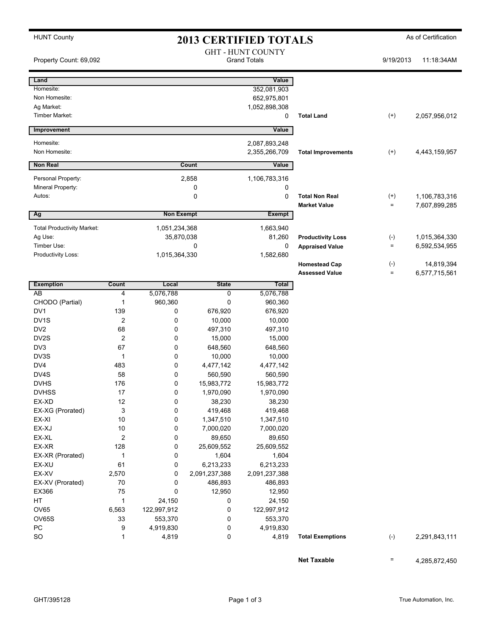| <b>HUNT County</b>                |                         |                        |               | <b>2013 CERTIFIED TOTALS</b> |                                               | As of Certification |                             |  |
|-----------------------------------|-------------------------|------------------------|---------------|------------------------------|-----------------------------------------------|---------------------|-----------------------------|--|
|                                   |                         |                        |               | <b>GHT - HUNT COUNTY</b>     |                                               |                     |                             |  |
| Property Count: 69,092            |                         |                        |               | <b>Grand Totals</b>          |                                               | 9/19/2013           | 11:18:34AM                  |  |
|                                   |                         |                        |               |                              |                                               |                     |                             |  |
| Land                              |                         |                        |               | Value                        |                                               |                     |                             |  |
| Homesite:                         |                         |                        |               | 352,081,903                  |                                               |                     |                             |  |
| Non Homesite:                     |                         |                        |               | 652,975,801                  |                                               |                     |                             |  |
| Ag Market:                        |                         |                        |               | 1,052,898,308                |                                               |                     |                             |  |
| <b>Timber Market:</b>             |                         |                        |               | 0                            | <b>Total Land</b>                             | $^{(+)}$            | 2,057,956,012               |  |
| Improvement                       |                         |                        |               | Value                        |                                               |                     |                             |  |
| Homesite:                         |                         |                        |               | 2,087,893,248                |                                               |                     |                             |  |
| Non Homesite:                     |                         |                        |               | 2,355,266,709                | <b>Total Improvements</b>                     | $^{(+)}$            | 4,443,159,957               |  |
| <b>Non Real</b>                   |                         |                        | Count         | Value                        |                                               |                     |                             |  |
|                                   |                         |                        |               |                              |                                               |                     |                             |  |
| Personal Property:                |                         | 2,858<br>1,106,783,316 |               |                              |                                               |                     |                             |  |
| Mineral Property:                 |                         |                        | 0             | 0                            |                                               |                     |                             |  |
| Autos:                            |                         |                        | 0             | 0                            | <b>Total Non Real</b>                         | $^{(+)}$            | 1,106,783,316               |  |
|                                   |                         | <b>Non Exempt</b>      |               | <b>Exempt</b>                | <b>Market Value</b>                           | $=$                 | 7,607,899,285               |  |
| Ag                                |                         |                        |               |                              |                                               |                     |                             |  |
| <b>Total Productivity Market:</b> |                         | 1,051,234,368          |               | 1,663,940                    |                                               |                     |                             |  |
| Ag Use:                           |                         | 35,870,038             |               | 81,260                       | <b>Productivity Loss</b>                      | $(-)$               | 1,015,364,330               |  |
| Timber Use:                       |                         | 0                      |               | 0                            | <b>Appraised Value</b>                        | $=$                 | 6,592,534,955               |  |
| Productivity Loss:                |                         | 1,015,364,330          |               | 1,582,680                    |                                               |                     |                             |  |
|                                   |                         |                        |               |                              | <b>Homestead Cap</b><br><b>Assessed Value</b> | $(-)$<br>$=$        | 14,819,394<br>6,577,715,561 |  |
|                                   |                         |                        |               |                              |                                               |                     |                             |  |
| <b>Exemption</b>                  | Count                   | Local                  | <b>State</b>  | Total                        |                                               |                     |                             |  |
| AB                                | 4                       | 5,076,788              | 0             | 5,076,788                    |                                               |                     |                             |  |
| CHODO (Partial)                   | 1                       | 960,360                | 0             | 960,360                      |                                               |                     |                             |  |
| DV1                               | 139                     | 0                      | 676,920       | 676,920                      |                                               |                     |                             |  |
| DV <sub>1</sub> S                 | 2                       | 0                      | 10,000        | 10,000                       |                                               |                     |                             |  |
| DV <sub>2</sub>                   | 68                      | 0                      | 497,310       | 497,310                      |                                               |                     |                             |  |
| DV2S                              | $\overline{c}$          | 0                      | 15,000        | 15,000                       |                                               |                     |                             |  |
| DV3                               | 67                      | 0                      | 648,560       | 648,560                      |                                               |                     |                             |  |
| DV3S                              | 1                       | 0                      | 10,000        | 10,000                       |                                               |                     |                             |  |
| DV4                               | 483                     | 0                      | 4,477,142     | 4,477,142                    |                                               |                     |                             |  |
| DV4S                              | 58                      | 0                      | 560,590       | 560,590                      |                                               |                     |                             |  |
| <b>DVHS</b>                       | 176                     | 0                      | 15,983,772    | 15,983,772                   |                                               |                     |                             |  |
| <b>DVHSS</b>                      | $17$                    | 0                      | 1,970,090     | 1,970,090                    |                                               |                     |                             |  |
| EX-XD                             | 12                      | 0                      | 38,230        | 38,230                       |                                               |                     |                             |  |
| EX-XG (Prorated)                  | 3                       | 0                      | 419,468       | 419,468                      |                                               |                     |                             |  |
| EX-XI                             | $10$                    | 0                      | 1,347,510     | 1,347,510                    |                                               |                     |                             |  |
| EX-XJ                             | 10                      | 0                      | 7,000,020     | 7,000,020                    |                                               |                     |                             |  |
| EX-XL                             | $\overline{\mathbf{c}}$ | 0                      | 89,650        | 89,650                       |                                               |                     |                             |  |
| EX-XR                             | 128                     | 0                      | 25,609,552    | 25,609,552                   |                                               |                     |                             |  |
| EX-XR (Prorated)                  | $\mathbf 1$             | 0                      | 1,604         | 1,604                        |                                               |                     |                             |  |
| EX-XU                             | 61                      | 0                      | 6,213,233     | 6,213,233                    |                                               |                     |                             |  |
| EX-XV                             | 2,570                   | 0                      | 2,091,237,388 | 2,091,237,388                |                                               |                     |                             |  |
| EX-XV (Prorated)                  | 70                      | 0                      | 486,893       | 486,893                      |                                               |                     |                             |  |
| EX366                             | 75                      | 0                      | 12,950        | 12,950                       |                                               |                     |                             |  |
| HT                                | 1                       | 24,150                 | 0             | 24,150                       |                                               |                     |                             |  |
| OV65                              | 6,563                   | 122,997,912            | 0             | 122,997,912                  |                                               |                     |                             |  |
| OV65S                             | 33                      | 553,370                | 0             | 553,370                      |                                               |                     |                             |  |
| PC                                | 9                       | 4,919,830              | 0             | 4,919,830                    |                                               |                     |                             |  |
| <b>SO</b>                         | 1                       | 4,819                  | 0             | 4,819                        | <b>Total Exemptions</b>                       | $(\text{-})$        | 2,291,843,111               |  |

**Net Taxable**  $=$  4,285,872,450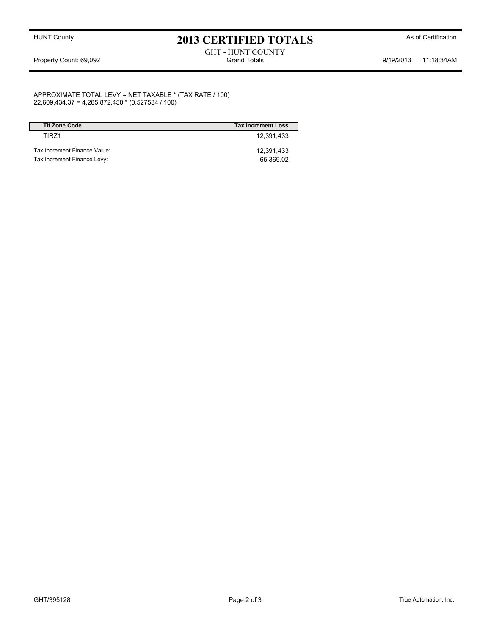## HUNT County **As of Certification 2013 CERTIFIED TOTALS** As of Certification

## GHT - HUNT COUNTY Property Count: 69,092 **Stand Totals** Grand Totals 9/19/2013 11:18:34AM

APPROXIMATE TOTAL LEVY = NET TAXABLE \* (TAX RATE / 100) 22,609,434.37 = 4,285,872,450 \* (0.527534 / 100)

| <b>Tif Zone Code</b>         | <b>Tax Increment Loss</b> |
|------------------------------|---------------------------|
| TIR71                        | 12.391.433                |
| Tax Increment Finance Value: | 12.391.433                |
| Tax Increment Finance Levy:  | 65.369.02                 |